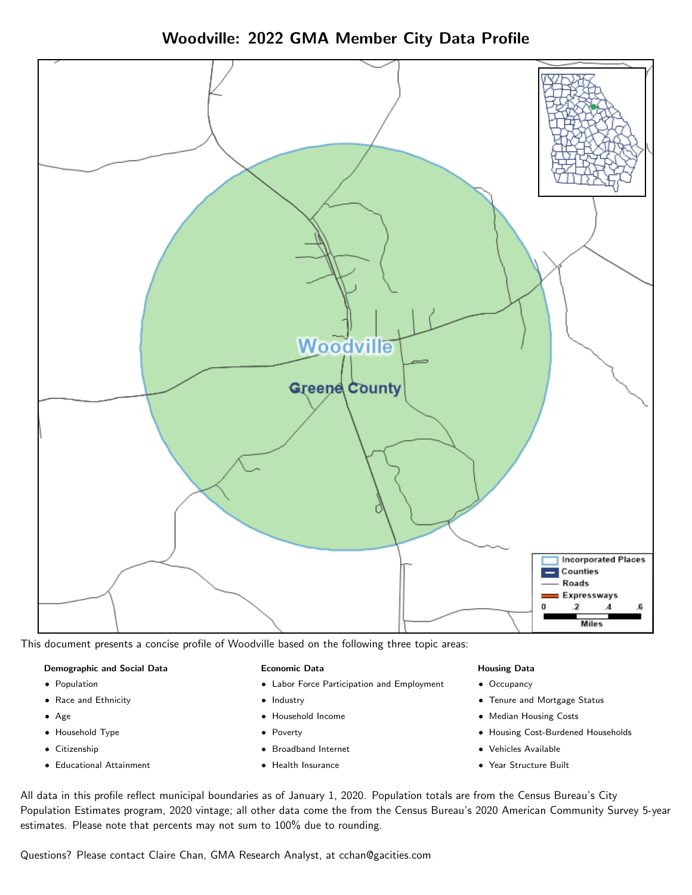Woodville: 2022 GMA Member City Data Profile



This document presents a concise profile of Woodville based on the following three topic areas:

#### Demographic and Social Data

- **•** Population
- Race and Ethnicity
- Age
- Household Type
- **Citizenship**
- Educational Attainment

#### Economic Data

- Labor Force Participation and Employment
- Industry
- Household Income
- Poverty
- Broadband Internet
- Health Insurance

#### Housing Data

- Occupancy
- Tenure and Mortgage Status
- Median Housing Costs
- Housing Cost-Burdened Households
- Vehicles Available
- Year Structure Built

All data in this profile reflect municipal boundaries as of January 1, 2020. Population totals are from the Census Bureau's City Population Estimates program, 2020 vintage; all other data come the from the Census Bureau's 2020 American Community Survey 5-year estimates. Please note that percents may not sum to 100% due to rounding.

Questions? Please contact Claire Chan, GMA Research Analyst, at [cchan@gacities.com.](mailto:cchan@gacities.com)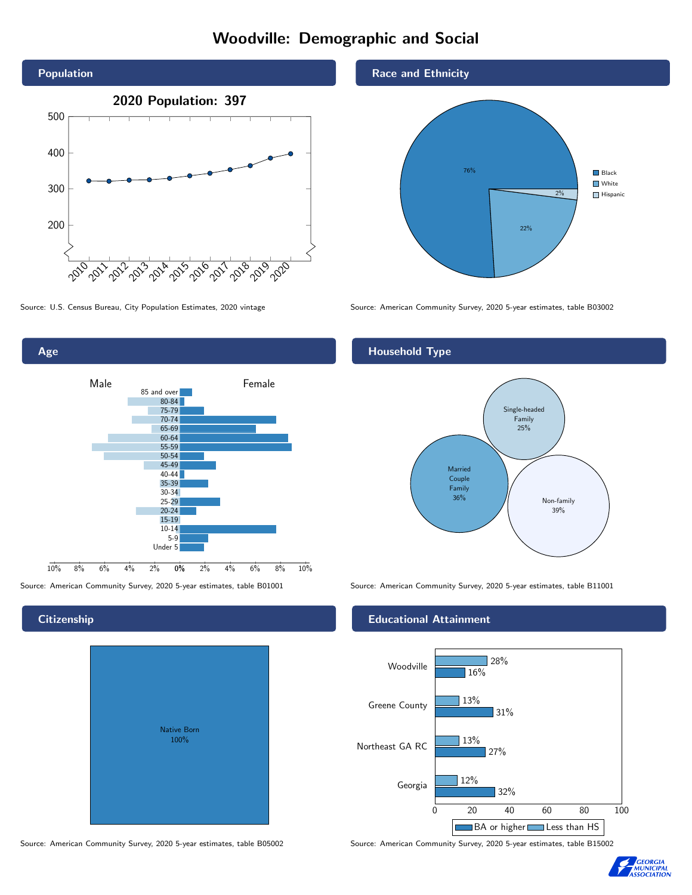# Woodville: Demographic and Social



Age

**Citizenship** 

0% 2% 4% 6% 8% 10% Male **Female** 10% 8% 6% 4% 2% 85 and over 80-84 75-79 70-74 65-69 60-64 55-59 50-54 45-49 40-44 35-39 30-34 25-29 20-24 15-19  $10-14$ 5-9 Under 5

Native Born 100%

Race and Ethnicity



Source: U.S. Census Bureau, City Population Estimates, 2020 vintage Source: American Community Survey, 2020 5-year estimates, table B03002

## Household Type



Source: American Community Survey, 2020 5-year estimates, table B01001 Source: American Community Survey, 2020 5-year estimates, table B11001

### Educational Attainment



Source: American Community Survey, 2020 5-year estimates, table B05002 Source: American Community Survey, 2020 5-year estimates, table B15002

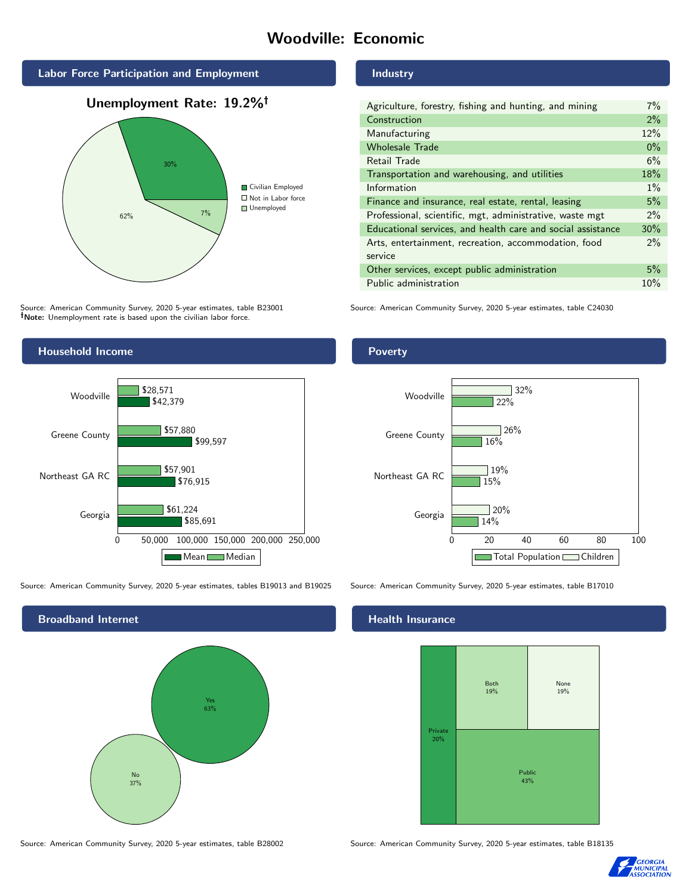# Woodville: Economic







Source: American Community Survey, 2020 5-year estimates, table B23001 Note: Unemployment rate is based upon the civilian labor force.

## Industry

| Agriculture, forestry, fishing and hunting, and mining      | $7\%$ |
|-------------------------------------------------------------|-------|
| Construction                                                | 2%    |
| Manufacturing                                               | 12%   |
| <b>Wholesale Trade</b>                                      | $0\%$ |
| Retail Trade                                                | 6%    |
| Transportation and warehousing, and utilities               | 18%   |
| Information                                                 | $1\%$ |
| Finance and insurance, real estate, rental, leasing         | 5%    |
| Professional, scientific, mgt, administrative, waste mgt    | $2\%$ |
| Educational services, and health care and social assistance | 30%   |
| Arts, entertainment, recreation, accommodation, food        | $2\%$ |
| service                                                     |       |
| Other services, except public administration                | 5%    |
| Public administration                                       | 10%   |

Source: American Community Survey, 2020 5-year estimates, table C24030



Source: American Community Survey, 2020 5-year estimates, tables B19013 and B19025 Source: American Community Survey, 2020 5-year estimates, table B17010



Source: American Community Survey, 2020 5-year estimates, table B28002 Source: American Community Survey, 2020 5-year estimates, table B18135

Poverty



# **Health Insurance**